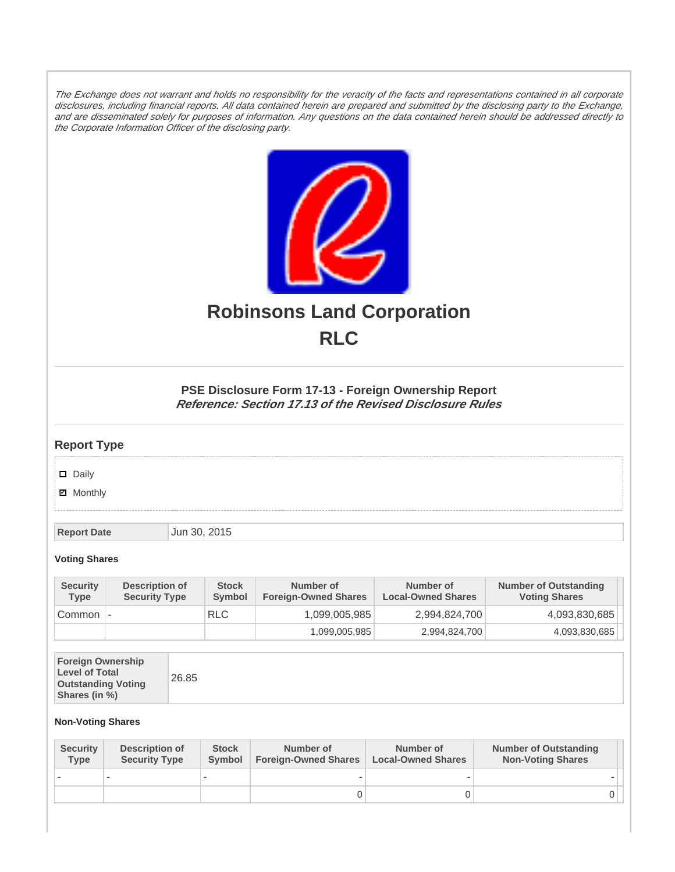The Exchange does not warrant and holds no responsibility for the veracity of the facts and representations contained in all corporate disclosures, including financial reports. All data contained herein are prepared and submitted by the disclosing party to the Exchange, and are disseminated solely for purposes of information. Any questions on the data contained herein should be addressed directly to the Corporate Information Officer of the disclosing party.



# **Robinsons Land Corporation RLC**

## **PSE Disclosure Form 17-13 - Foreign Ownership Report Reference: Section 17.13 of the Revised Disclosure Rules**

## **Report Type**

Daily

**Ø** Monthly

**Report Date Jun 30, 2015** 

#### **Voting Shares**

| <b>Security</b><br><b>Type</b> | Description of<br><b>Security Type</b> | <b>Stock</b><br>Symbol | Number of<br><b>Foreign-Owned Shares</b> | Number of<br><b>Local-Owned Shares</b> | <b>Number of Outstanding</b><br><b>Voting Shares</b> |
|--------------------------------|----------------------------------------|------------------------|------------------------------------------|----------------------------------------|------------------------------------------------------|
| Common                         | $\overline{\phantom{a}}$               | <b>RLC</b>             | 1,099,005,985                            | 2,994,824,700                          | 4,093,830,685                                        |
|                                |                                        |                        | 1,099,005,985                            | 2,994,824,700                          | 4,093,830,685                                        |

| <b>Foreign Ownership</b><br><b>Level of Total</b><br><b>Outstanding Voting</b><br>Shares (in %) |
|-------------------------------------------------------------------------------------------------|
|-------------------------------------------------------------------------------------------------|

### **Non-Voting Shares**

| <b>Security</b><br><b>Type</b> | <b>Description of</b><br><b>Security Type</b> | <b>Stock</b><br><b>Symbol</b> | Number of<br><b>Foreign-Owned Shares</b> | Number of<br><b>Local-Owned Shares</b> | <b>Number of Outstanding</b><br><b>Non-Voting Shares</b> |
|--------------------------------|-----------------------------------------------|-------------------------------|------------------------------------------|----------------------------------------|----------------------------------------------------------|
|                                |                                               |                               |                                          |                                        |                                                          |
|                                |                                               |                               | O                                        |                                        |                                                          |